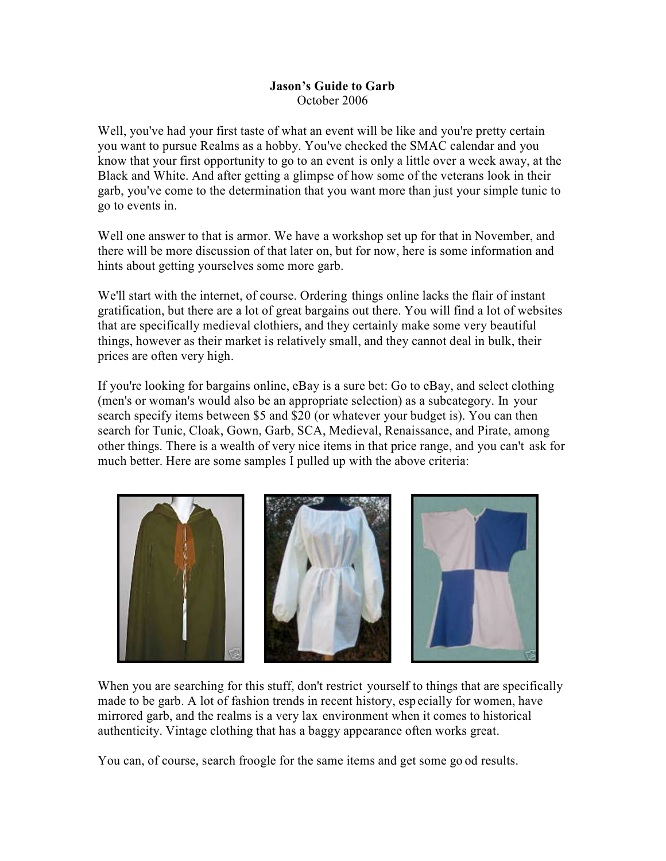## **Jason's Guide to Garb** October 2006

Well, you've had your first taste of what an event will be like and you're pretty certain you want to pursue Realms as a hobby. You've checked the SMAC calendar and you know that your first opportunity to go to an event is only a little over a week away, at the Black and White. And after getting a glimpse of how some of the veterans look in their garb, you've come to the determination that you want more than just your simple tunic to go to events in.

Well one answer to that is armor. We have a workshop set up for that in November, and there will be more discussion of that later on, but for now, here is some information and hints about getting yourselves some more garb.

We'll start with the internet, of course. Ordering things online lacks the flair of instant gratification, but there are a lot of great bargains out there. You will find a lot of websites that are specifically medieval clothiers, and they certainly make some very beautiful things, however as their market is relatively small, and they cannot deal in bulk, their prices are often very high.

If you're looking for bargains online, eBay is a sure bet: Go to eBay, and select clothing (men's or woman's would also be an appropriate selection) as a subcategory. In your search specify items between \$5 and \$20 (or whatever your budget is). You can then search for Tunic, Cloak, Gown, Garb, SCA, Medieval, Renaissance, and Pirate, among other things. There is a wealth of very nice items in that price range, and you can't ask for much better. Here are some samples I pulled up with the above criteria:



When you are searching for this stuff, don't restrict yourself to things that are specifically made to be garb. A lot of fashion trends in recent history, esp ecially for women, have mirrored garb, and the realms is a very lax environment when it comes to historical authenticity. Vintage clothing that has a baggy appearance often works great.

You can, of course, search froogle for the same items and get some go od results.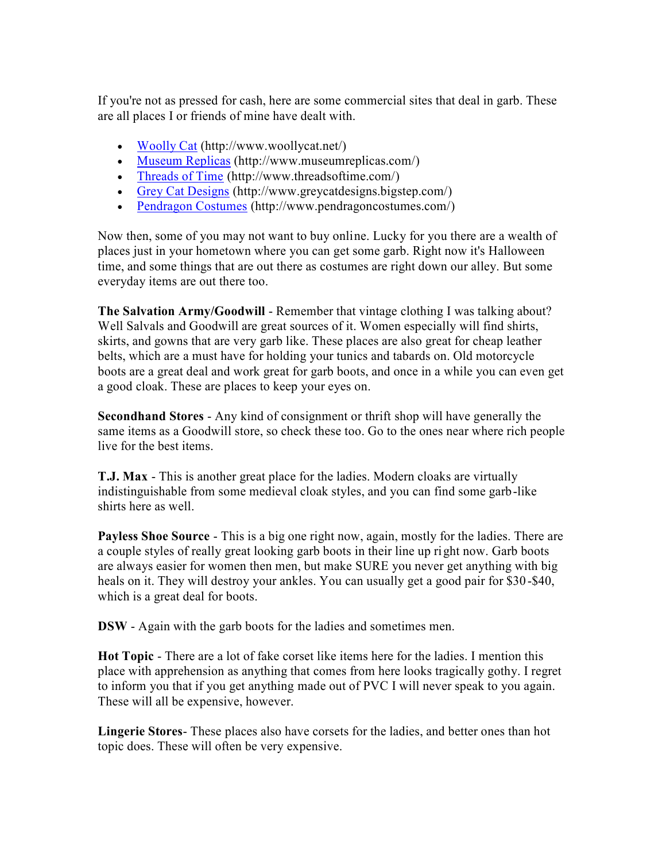If you're not as pressed for cash, here are some commercial sites that deal in garb. These are all places I or friends of mine have dealt with.

- [Woolly Cat](http://www.woollycat.net/) (http://www.woollycat.net/)
- [Museum Replicas](http://www.museumreplicas.com/webstore/Home.aspx) (http://www.museumreplicas.com/)
- [Threads of Time](http://www.threadsoftime.com/) (http://www.threadsoftime.com/)
- [Grey Cat Designs](http://www.greycatdesigns.bigstep.com/homepage.html) (http://www.greycatdesigns.bigstep.com/)
- [Pendragon Costumes](http://www.pendragoncostumes.com/) (http://www.pendragoncostumes.com/)

Now then, some of you may not want to buy online. Lucky for you there are a wealth of places just in your hometown where you can get some garb. Right now it's Halloween time, and some things that are out there as costumes are right down our alley. But some everyday items are out there too.

**The Salvation Army/Goodwill** - Remember that vintage clothing I was talking about? Well Salvals and Goodwill are great sources of it. Women especially will find shirts, skirts, and gowns that are very garb like. These places are also great for cheap leather belts, which are a must have for holding your tunics and tabards on. Old motorcycle boots are a great deal and work great for garb boots, and once in a while you can even get a good cloak. These are places to keep your eyes on.

**Secondhand Stores** - Any kind of consignment or thrift shop will have generally the same items as a Goodwill store, so check these too. Go to the ones near where rich people live for the best items.

**T.J. Max** - This is another great place for the ladies. Modern cloaks are virtually indistinguishable from some medieval cloak styles, and you can find some garb-like shirts here as well.

**Payless Shoe Source** - This is a big one right now, again, mostly for the ladies. There are a couple styles of really great looking garb boots in their line up right now. Garb boots are always easier for women then men, but make SURE you never get anything with big heals on it. They will destroy your ankles. You can usually get a good pair for \$30-\$40, which is a great deal for boots.

**DSW** - Again with the garb boots for the ladies and sometimes men.

**Hot Topic** - There are a lot of fake corset like items here for the ladies. I mention this place with apprehension as anything that comes from here looks tragically gothy. I regret to inform you that if you get anything made out of PVC I will never speak to you again. These will all be expensive, however.

**Lingerie Stores**- These places also have corsets for the ladies, and better ones than hot topic does. These will often be very expensive.